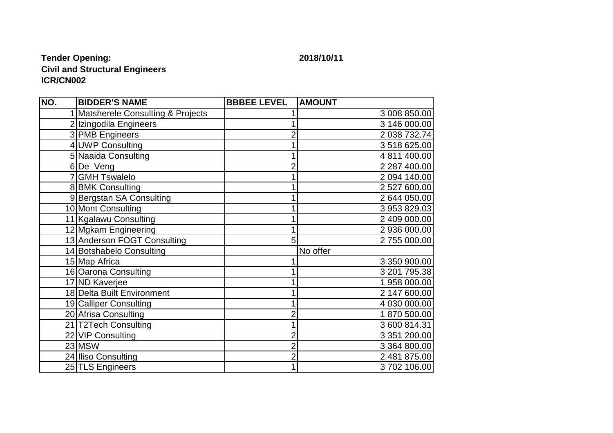## **Tender Opening: 2018/10/11 Civil and Structural Engineers ICR/CN002**

| NO. | <b>BIDDER'S NAME</b>               | <b>BBBEE LEVEL</b> | <b>AMOUNT</b> |
|-----|------------------------------------|--------------------|---------------|
|     | 1 Matsherele Consulting & Projects |                    | 3 008 850.00  |
|     | 2 Izingodila Engineers             |                    | 3 146 000.00  |
|     | 3 PMB Engineers                    |                    | 2 038 732.74  |
|     | 4 UWP Consulting                   |                    | 3 518 625.00  |
|     | 5 Naaida Consulting                |                    | 4 811 400.00  |
|     | 6De Veng                           | $\overline{2}$     | 2 287 400.00  |
|     | 7 GMH Tswalelo                     |                    | 2 094 140.00  |
|     | 8 BMK Consulting                   |                    | 2 527 600.00  |
|     | 9 Bergstan SA Consulting           |                    | 2 644 050.00  |
|     | 10 Mont Consulting                 |                    | 3 953 829.03  |
|     | 11 Kgalawu Consulting              |                    | 2 409 000.00  |
|     | 12 Mgkam Engineering               |                    | 2 936 000.00  |
|     | 13 Anderson FOGT Consulting        | 5                  | 2755 000.00   |
|     | 14 Botshabelo Consulting           |                    | No offer      |
|     | 15 Map Africa                      |                    | 3 350 900.00  |
|     | 16 Oarona Consulting               |                    | 3 201 795.38  |
|     | 17 ND Kaverjee                     |                    | 1958 000.00   |
|     | 18 Delta Built Environment         |                    | 2 147 600.00  |
|     | 19 Calliper Consulting             |                    | 4 030 000.00  |
|     | 20 Afrisa Consulting               | $\overline{2}$     | 1870 500.00   |
|     | 21 T2Tech Consulting               |                    | 3 600 814.31  |
|     | 22 VIP Consulting                  | 2                  | 3 351 200.00  |
|     | 23 MSW                             | $\overline{c}$     | 3 364 800.00  |
|     | 24 Iliso Consulting                | $\overline{2}$     | 2 481 875.00  |
|     | 25 TLS Engineers                   | 1                  | 3702106.00    |